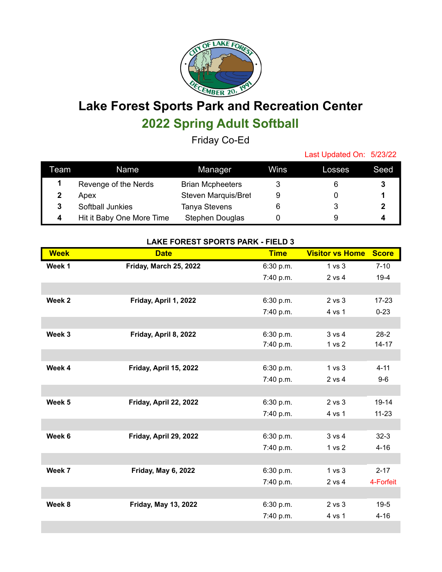

## **Lake Forest Sports Park and Recreation Center 2022 Spring Adult Softball**

Friday Co-Ed

Last Updated On: 5/23/22

| Team | Name                      | Manager                    | Wins | Losses | Seed |
|------|---------------------------|----------------------------|------|--------|------|
|      | Revenge of the Nerds      | <b>Brian Mcpheeters</b>    |      |        |      |
|      | Apex                      | <b>Steven Marquis/Bret</b> |      |        |      |
|      | Softball Junkies          | <b>Tanya Stevens</b>       |      |        |      |
|      | Hit it Baby One More Time | Stephen Douglas            |      |        |      |

## **LAKE FOREST SPORTS PARK - FIELD 3**

| <b>Week</b> | <b>Date</b>                 | <b>Time</b> | <b>Visitor vs Home</b> | <b>Score</b> |
|-------------|-----------------------------|-------------|------------------------|--------------|
| Week 1      | Friday, March 25, 2022      | 6:30 p.m.   | 1 <sub>vs</sub> 3      | $7 - 10$     |
|             |                             | 7:40 p.m.   | 2 vs 4                 | $19-4$       |
|             |                             |             |                        |              |
| Week 2      | Friday, April 1, 2022       | 6:30 p.m.   | $2$ vs $3$             | $17-23$      |
|             |                             | 7:40 p.m.   | 4 vs 1                 | $0 - 23$     |
|             |                             |             |                        |              |
| Week 3      | Friday, April 8, 2022       | 6:30 p.m.   | $3 \text{ vs } 4$      | $28-2$       |
|             |                             | 7:40 p.m.   | 1 <sub>vs</sub> 2      | $14 - 17$    |
|             |                             |             |                        |              |
| Week 4      | Friday, April 15, 2022      | 6:30 p.m.   | 1 <sub>vs</sub> 3      | $4 - 11$     |
|             |                             | 7:40 p.m.   | 2 vs 4                 | $9-6$        |
|             |                             |             |                        |              |
| Week 5      | Friday, April 22, 2022      | 6:30 p.m.   | $2$ vs $3$             | $19 - 14$    |
|             |                             | 7:40 p.m.   | 4 vs 1                 | $11 - 23$    |
|             |                             |             |                        |              |
| Week 6      | Friday, April 29, 2022      | 6:30 p.m.   | 3 v s 4                | $32-3$       |
|             |                             | 7:40 p.m.   | 1 <sub>vs</sub> 2      | $4 - 16$     |
|             |                             |             |                        |              |
| Week 7      | <b>Friday, May 6, 2022</b>  | 6:30 p.m.   | 1 vs 3                 | $2 - 17$     |
|             |                             | 7:40 p.m.   | 2 vs 4                 | 4-Forfeit    |
|             |                             |             |                        |              |
| Week 8      | <b>Friday, May 13, 2022</b> | 6:30 p.m.   | $2$ vs $3$             | $19-5$       |
|             |                             | 7:40 p.m.   | 4 vs 1                 | $4 - 16$     |
|             |                             |             |                        |              |